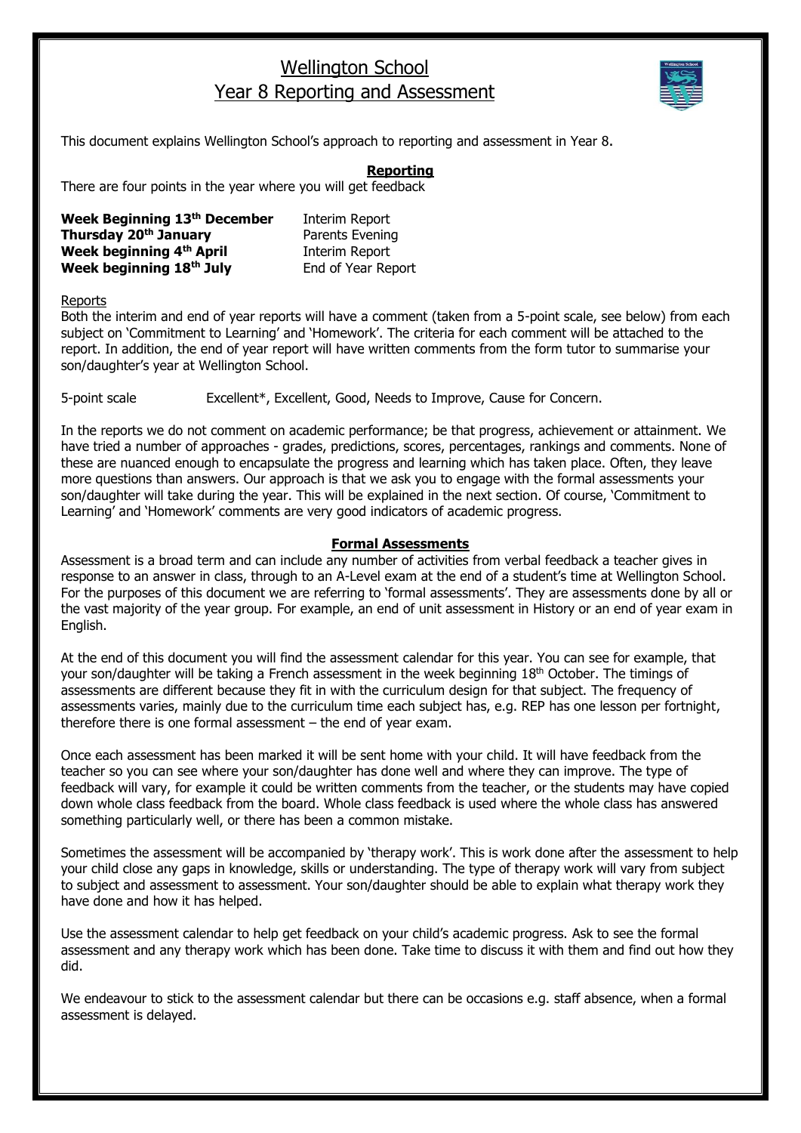## Wellington School Year 8 Reporting and Assessment



This document explains Wellington School's approach to reporting and assessment in Year 8.

## **Reporting**

There are four points in the year where you will get feedback

| Week Beginning 13th December | Interim Report     |
|------------------------------|--------------------|
| Thursday 20th January        | Parents Evening    |
| Week beginning 4th April     | Interim Report     |
| Week beginning 18th July     | End of Year Report |

Reports

Both the interim and end of year reports will have a comment (taken from a 5-point scale, see below) from each subject on 'Commitment to Learning' and 'Homework'. The criteria for each comment will be attached to the report. In addition, the end of year report will have written comments from the form tutor to summarise your son/daughter's year at Wellington School.

5-point scale Excellent\*, Excellent, Good, Needs to Improve, Cause for Concern.

In the reports we do not comment on academic performance; be that progress, achievement or attainment. We have tried a number of approaches - grades, predictions, scores, percentages, rankings and comments. None of these are nuanced enough to encapsulate the progress and learning which has taken place. Often, they leave more questions than answers. Our approach is that we ask you to engage with the formal assessments your son/daughter will take during the year. This will be explained in the next section. Of course, 'Commitment to Learning' and 'Homework' comments are very good indicators of academic progress.

## **Formal Assessments**

Assessment is a broad term and can include any number of activities from verbal feedback a teacher gives in response to an answer in class, through to an A-Level exam at the end of a student's time at Wellington School. For the purposes of this document we are referring to 'formal assessments'. They are assessments done by all or the vast majority of the year group. For example, an end of unit assessment in History or an end of year exam in English.

At the end of this document you will find the assessment calendar for this year. You can see for example, that your son/daughter will be taking a French assessment in the week beginning 18<sup>th</sup> October. The timings of assessments are different because they fit in with the curriculum design for that subject. The frequency of assessments varies, mainly due to the curriculum time each subject has, e.g. REP has one lesson per fortnight, therefore there is one formal assessment – the end of year exam.

Once each assessment has been marked it will be sent home with your child. It will have feedback from the teacher so you can see where your son/daughter has done well and where they can improve. The type of feedback will vary, for example it could be written comments from the teacher, or the students may have copied down whole class feedback from the board. Whole class feedback is used where the whole class has answered something particularly well, or there has been a common mistake.

Sometimes the assessment will be accompanied by 'therapy work'. This is work done after the assessment to help your child close any gaps in knowledge, skills or understanding. The type of therapy work will vary from subject to subject and assessment to assessment. Your son/daughter should be able to explain what therapy work they have done and how it has helped.

Use the assessment calendar to help get feedback on your child's academic progress. Ask to see the formal assessment and any therapy work which has been done. Take time to discuss it with them and find out how they did.

We endeavour to stick to the assessment calendar but there can be occasions e.g. staff absence, when a formal assessment is delayed.